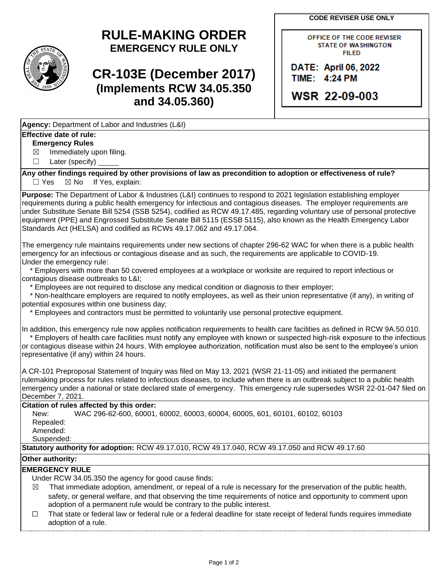**CODE REVISER USE ONLY**

OFFICE OF THE CODE REVISER **STATE OF WASHINGTON FILED** 

DATE: April 06, 2022 TIME: 4:24 PM

**WSR 22-09-003** 

# **RULE-MAKING ORDER EMERGENCY RULE ONLY**

# **CR-103E (December 2017) (Implements RCW 34.05.350 and 34.05.360)**

**Agency:** Department of Labor and Industries (L&I)

### **Effective date of rule:**

### **Emergency Rules**

 $\boxtimes$  Immediately upon filing.

☐ Later (specify)

**Any other findings required by other provisions of law as precondition to adoption or effectiveness of rule?**  $\Box$  Yes  $\boxtimes$  No If Yes, explain:

**Purpose:** The Department of Labor & Industries (L&I) continues to respond to 2021 legislation establishing employer requirements during a public health emergency for infectious and contagious diseases. The employer requirements are under Substitute Senate Bill 5254 (SSB 5254), codified as RCW 49.17.485, regarding voluntary use of personal protective equipment (PPE) and Engrossed Substitute Senate Bill 5115 (ESSB 5115), also known as the Health Emergency Labor Standards Act (HELSA) and codified as RCWs 49.17.062 and 49.17.064.

The emergency rule maintains requirements under new sections of chapter 296-62 WAC for when there is a public health emergency for an infectious or contagious disease and as such, the requirements are applicable to COVID-19. Under the emergency rule:

 \* Employers with more than 50 covered employees at a workplace or worksite are required to report infectious or contagious disease outbreaks to L&I;

\* Employees are not required to disclose any medical condition or diagnosis to their employer;

 \* Non-healthcare employers are required to notify employees, as well as their union representative (if any), in writing of potential exposures within one business day;

\* Employees and contractors must be permitted to voluntarily use personal protective equipment.

In addition, this emergency rule now applies notification requirements to health care facilities as defined in RCW 9A.50.010. \* Employers of health care facilities must notify any employee with known or suspected high-risk exposure to the infectious or contagious disease within 24 hours. With employee authorization, notification must also be sent to the employee's union

representative (if any) within 24 hours.

A CR-101 Preproposal Statement of Inquiry was filed on May 13, 2021 (WSR 21-11-05) and initiated the permanent rulemaking process for rules related to infectious diseases, to include when there is an outbreak subject to a public health emergency under a national or state declared state of emergency. This emergency rule supersedes WSR 22-01-047 filed on December 7, 2021.

#### **Citation of rules affected by this order:**

New: WAC 296-62-600, 60001, 60002, 60003, 60004, 60005, 601, 60101, 60102, 60103 Repealed: Amended:

Suspended:

**Statutory authority for adoption:** RCW 49.17.010, RCW 49.17.040, RCW 49.17.050 and RCW 49.17.60

#### **Other authority:**

#### **EMERGENCY RULE**

Under RCW 34.05.350 the agency for good cause finds:

- $\boxtimes$  That immediate adoption, amendment, or repeal of a rule is necessary for the preservation of the public health, safety, or general welfare, and that observing the time requirements of notice and opportunity to comment upon adoption of a permanent rule would be contrary to the public interest.
- ☐ That state or federal law or federal rule or a federal deadline for state receipt of federal funds requires immediate adoption of a rule.